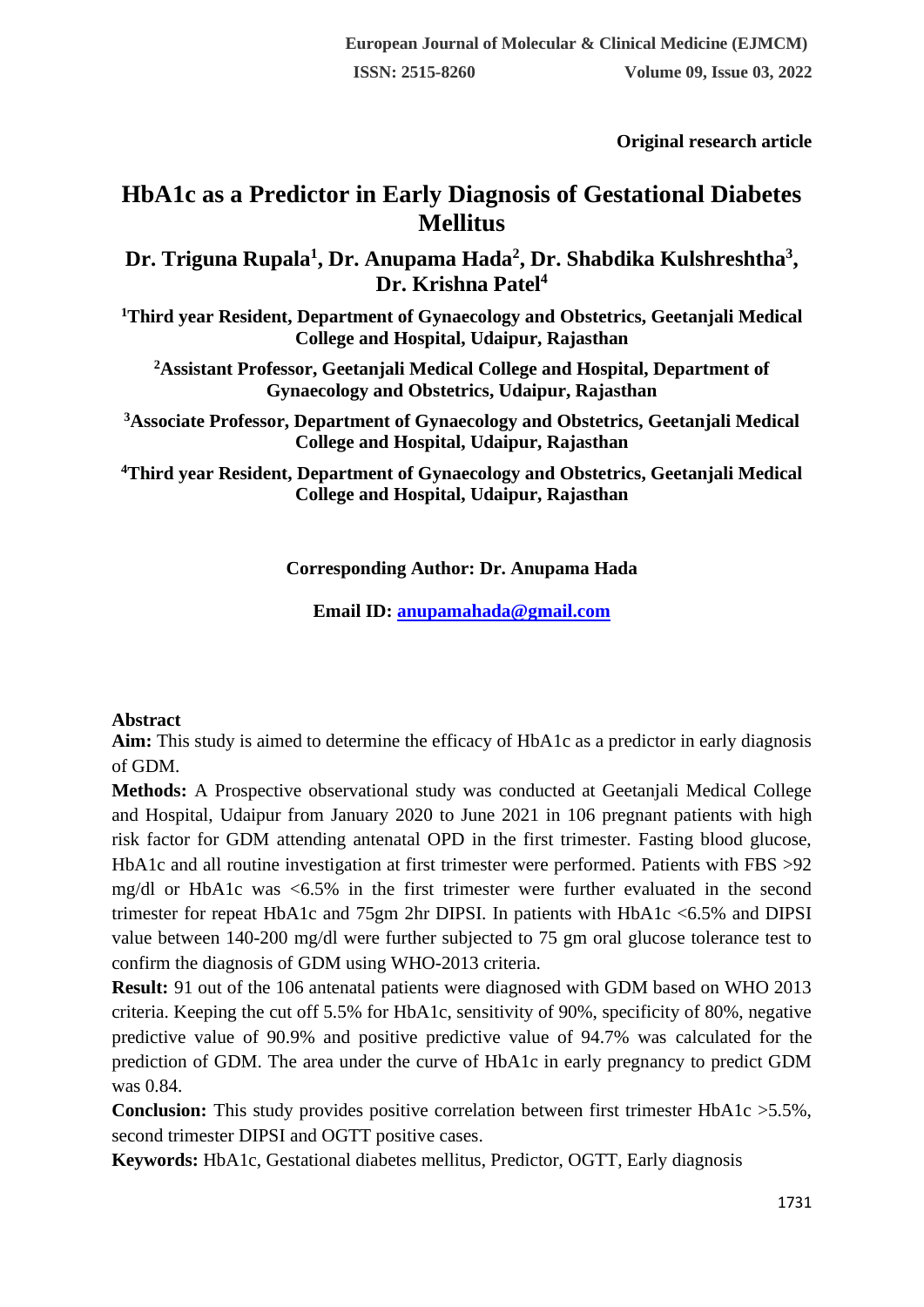**Original research article** 

# **HbA1c as a Predictor in Early Diagnosis of Gestational Diabetes Mellitus**

**Dr. Triguna Rupala<sup>1</sup> , Dr. Anupama Hada<sup>2</sup> , Dr. Shabdika Kulshreshtha<sup>3</sup> , Dr. Krishna Patel<sup>4</sup>**

**<sup>1</sup>Third year Resident, Department of Gynaecology and Obstetrics, Geetanjali Medical College and Hospital, Udaipur, Rajasthan**

**<sup>2</sup>Assistant Professor, Geetanjali Medical College and Hospital, Department of Gynaecology and Obstetrics, Udaipur, Rajasthan**

**<sup>3</sup>Associate Professor, Department of Gynaecology and Obstetrics, Geetanjali Medical College and Hospital, Udaipur, Rajasthan**

**<sup>4</sup>Third year Resident, Department of Gynaecology and Obstetrics, Geetanjali Medical College and Hospital, Udaipur, Rajasthan**

# **Corresponding Author: Dr. Anupama Hada**

**Email ID: [anupamahada@gmail.com](mailto:anupamahada@gmail.com)**

#### **Abstract**

**Aim:** This study is aimed to determine the efficacy of HbA1c as a predictor in early diagnosis of GDM.

**Methods:** A Prospective observational study was conducted at Geetanjali Medical College and Hospital, Udaipur from January 2020 to June 2021 in 106 pregnant patients with high risk factor for GDM attending antenatal OPD in the first trimester. Fasting blood glucose, HbA1c and all routine investigation at first trimester were performed. Patients with FBS >92 mg/dl or HbA1c was <6.5% in the first trimester were further evaluated in the second trimester for repeat HbA1c and 75gm 2hr DIPSI. In patients with HbA1c <6.5% and DIPSI value between 140-200 mg/dl were further subjected to 75 gm oral glucose tolerance test to confirm the diagnosis of GDM using WHO-2013 criteria.

**Result:** 91 out of the 106 antenatal patients were diagnosed with GDM based on WHO 2013 criteria. Keeping the cut off 5.5% for HbA1c, sensitivity of 90%, specificity of 80%, negative predictive value of 90.9% and positive predictive value of 94.7% was calculated for the prediction of GDM. The area under the curve of HbA1c in early pregnancy to predict GDM was 0.84.

**Conclusion:** This study provides positive correlation between first trimester HbA1c > 5.5%, second trimester DIPSI and OGTT positive cases.

**Keywords:** HbA1c, Gestational diabetes mellitus, Predictor, OGTT, Early diagnosis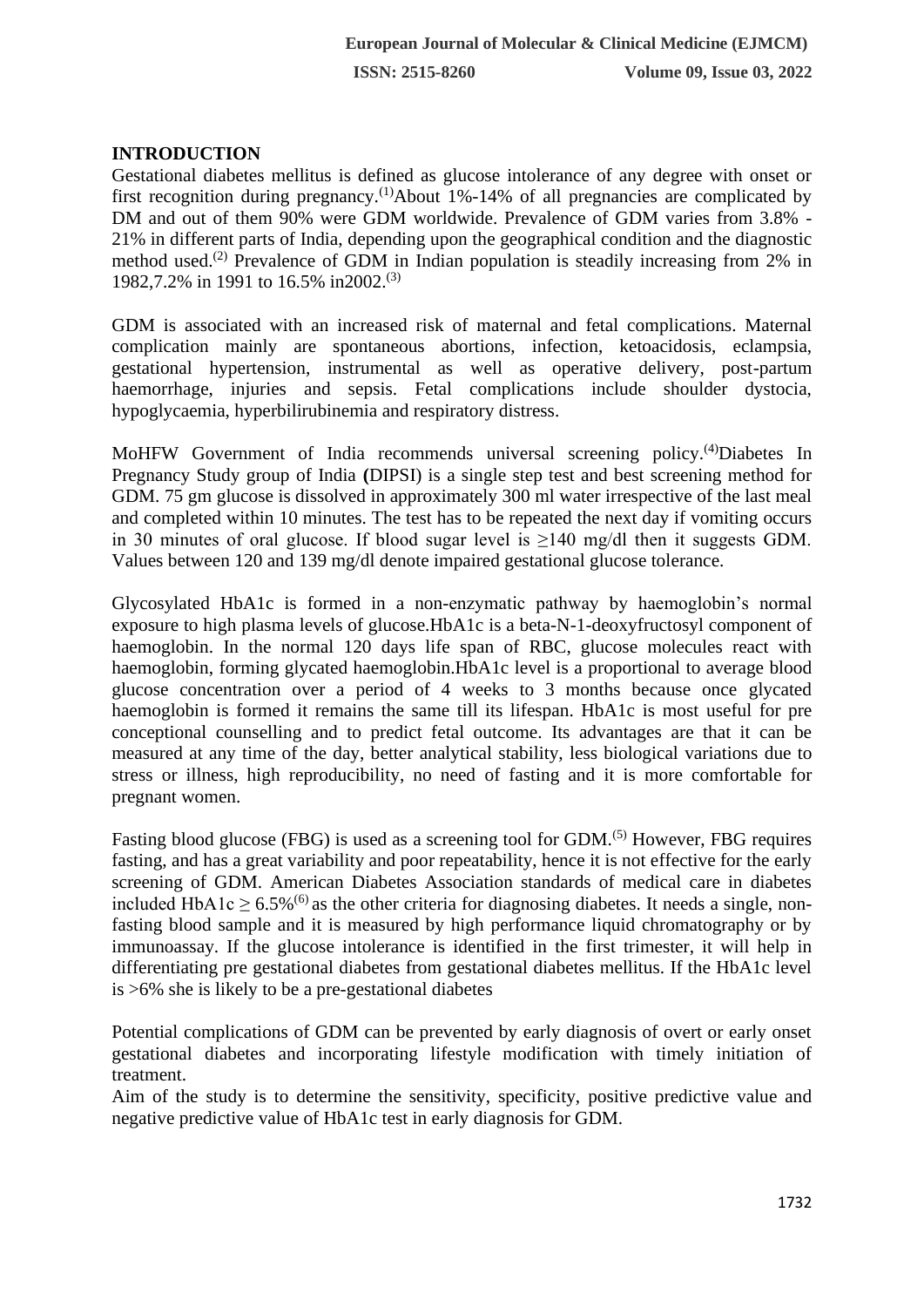# **INTRODUCTION**

Gestational diabetes mellitus is defined as glucose intolerance of any degree with onset or first recognition during pregnancy.<sup>(1)</sup>About 1%-14% of all pregnancies are complicated by DM and out of them 90% were GDM worldwide. Prevalence of GDM varies from 3.8% - 21% in different parts of India, depending upon the geographical condition and the diagnostic method used.(2) Prevalence of GDM in Indian population is steadily increasing from 2% in 1982,7.2% in 1991 to 16.5% in2002.(3)

GDM is associated with an increased risk of maternal and fetal complications. Maternal complication mainly are spontaneous abortions, infection, ketoacidosis, eclampsia, gestational hypertension, instrumental as well as operative delivery, post-partum haemorrhage, injuries and sepsis. Fetal complications include shoulder dystocia, hypoglycaemia, hyperbilirubinemia and respiratory distress.

MoHFW Government of India recommends universal screening policy.(4)Diabetes In Pregnancy Study group of India **(**DIPSI) is a single step test and best screening method for GDM. 75 gm glucose is dissolved in approximately 300 ml water irrespective of the last meal and completed within 10 minutes. The test has to be repeated the next day if vomiting occurs in 30 minutes of oral glucose. If blood sugar level is  $\geq$ 140 mg/dl then it suggests GDM. Values between 120 and 139 mg/dl denote impaired gestational glucose tolerance.

Glycosylated HbA1c is formed in a non-enzymatic pathway by haemoglobin's normal exposure to high plasma levels of glucose.HbA1c is a beta-N-1-deoxyfructosyl component of haemoglobin. In the normal 120 days life span of RBC, glucose molecules react with haemoglobin, forming glycated haemoglobin.HbA1c level is a proportional to average blood glucose concentration over a period of 4 weeks to 3 months because once glycated haemoglobin is formed it remains the same till its lifespan. HbA1c is most useful for pre conceptional counselling and to predict fetal outcome. Its advantages are that it can be measured at any time of the day, better analytical stability, less biological variations due to stress or illness, high reproducibility, no need of fasting and it is more comfortable for pregnant women.

Fasting blood glucose (FBG) is used as a screening tool for GDM.<sup>(5)</sup> However, FBG requires fasting, and has a great variability and poor repeatability, hence it is not effective for the early screening of GDM. American Diabetes Association standards of medical care in diabetes included HbA1c  $\geq 6.5\%$ <sup>(6)</sup> as the other criteria for diagnosing diabetes. It needs a single, nonfasting blood sample and it is measured by high performance liquid chromatography or by immunoassay. If the glucose intolerance is identified in the first trimester, it will help in differentiating pre gestational diabetes from gestational diabetes mellitus. If the HbA1c level is >6% she is likely to be a pre-gestational diabetes

Potential complications of GDM can be prevented by early diagnosis of overt or early onset gestational diabetes and incorporating lifestyle modification with timely initiation of treatment.

Aim of the study is to determine the sensitivity, specificity, positive predictive value and negative predictive value of HbA1c test in early diagnosis for GDM.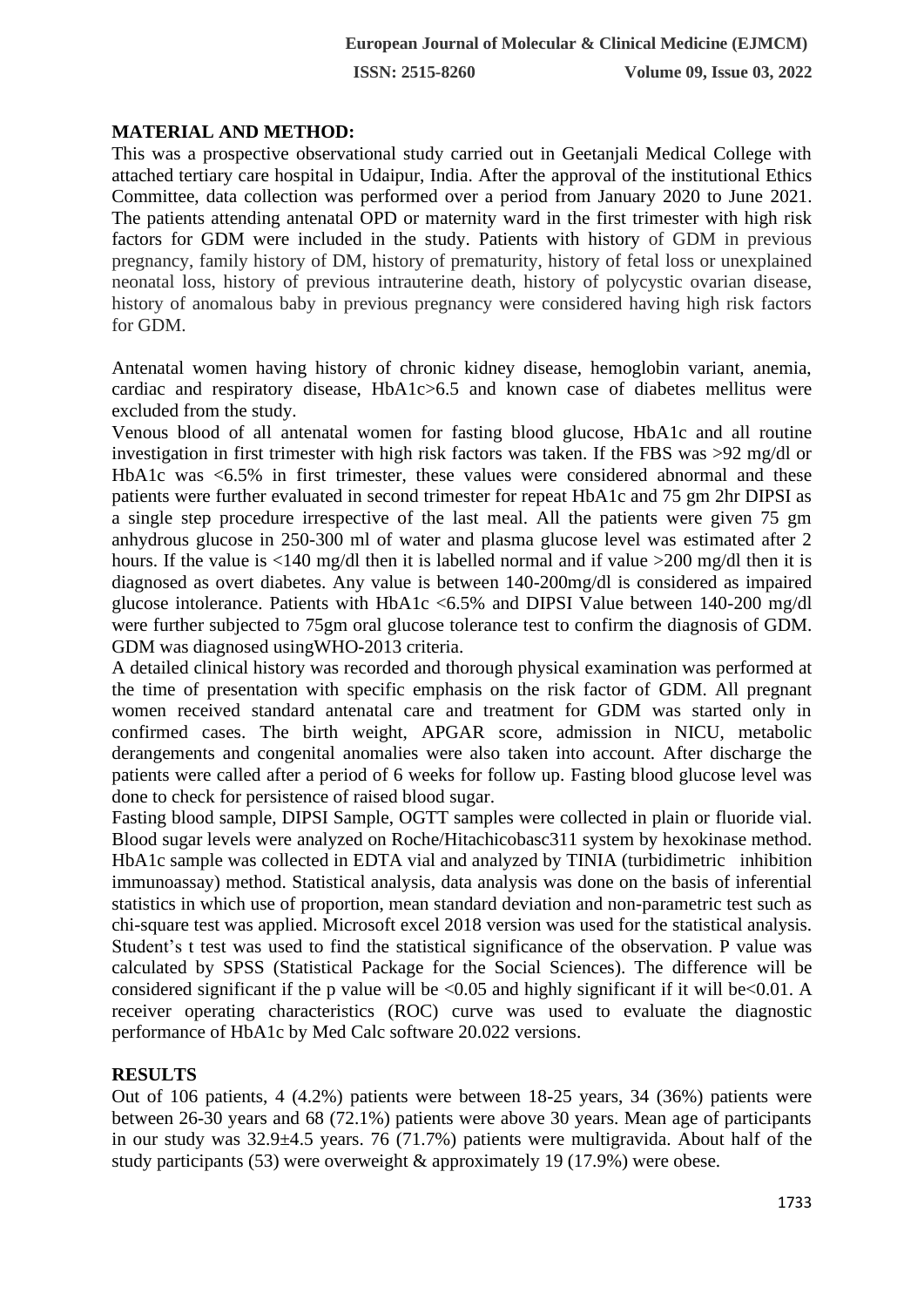**ISSN: 2515-8260 Volume 09, Issue 03, 2022**

#### **MATERIAL AND METHOD:**

This was a prospective observational study carried out in Geetanjali Medical College with attached tertiary care hospital in Udaipur, India. After the approval of the institutional Ethics Committee, data collection was performed over a period from January 2020 to June 2021. The patients attending antenatal OPD or maternity ward in the first trimester with high risk factors for GDM were included in the study. Patients with history of GDM in previous pregnancy, family history of DM, history of prematurity, history of fetal loss or unexplained neonatal loss, history of previous intrauterine death, history of polycystic ovarian disease, history of anomalous baby in previous pregnancy were considered having high risk factors for GDM.

Antenatal women having history of chronic kidney disease, hemoglobin variant, anemia, cardiac and respiratory disease, HbA1c>6.5 and known case of diabetes mellitus were excluded from the study.

Venous blood of all antenatal women for fasting blood glucose, HbA1c and all routine investigation in first trimester with high risk factors was taken. If the FBS was >92 mg/dl or HbA1c was <6.5% in first trimester, these values were considered abnormal and these patients were further evaluated in second trimester for repeat HbA1c and 75 gm 2hr DIPSI as a single step procedure irrespective of the last meal. All the patients were given 75 gm anhydrous glucose in 250-300 ml of water and plasma glucose level was estimated after 2 hours. If the value is <140 mg/dl then it is labelled normal and if value >200 mg/dl then it is diagnosed as overt diabetes. Any value is between 140-200mg/dl is considered as impaired glucose intolerance. Patients with HbA1c <6.5% and DIPSI Value between 140-200 mg/dl were further subjected to 75gm oral glucose tolerance test to confirm the diagnosis of GDM. GDM was diagnosed usingWHO-2013 criteria.

A detailed clinical history was recorded and thorough physical examination was performed at the time of presentation with specific emphasis on the risk factor of GDM. All pregnant women received standard antenatal care and treatment for GDM was started only in confirmed cases. The birth weight, APGAR score, admission in NICU, metabolic derangements and congenital anomalies were also taken into account. After discharge the patients were called after a period of 6 weeks for follow up. Fasting blood glucose level was done to check for persistence of raised blood sugar.

Fasting blood sample, DIPSI Sample, OGTT samples were collected in plain or fluoride vial. Blood sugar levels were analyzed on Roche/Hitachicobasc311 system by hexokinase method. HbA1c sample was collected in EDTA vial and analyzed by TINIA (turbidimetric inhibition immunoassay) method. Statistical analysis, data analysis was done on the basis of inferential statistics in which use of proportion, mean standard deviation and non-parametric test such as chi-square test was applied. Microsoft excel 2018 version was used for the statistical analysis. Student's t test was used to find the statistical significance of the observation. P value was calculated by SPSS (Statistical Package for the Social Sciences). The difference will be considered significant if the p value will be  $\leq 0.05$  and highly significant if it will be $\leq 0.01$ . A receiver operating characteristics (ROC) curve was used to evaluate the diagnostic performance of HbA1c by Med Calc software 20.022 versions.

#### **RESULTS**

Out of 106 patients, 4 (4.2%) patients were between 18-25 years, 34 (36%) patients were between 26-30 years and 68 (72.1%) patients were above 30 years. Mean age of participants in our study was 32.9±4.5 years. 76 (71.7%) patients were multigravida. About half of the study participants (53) were overweight & approximately 19 (17.9%) were obese.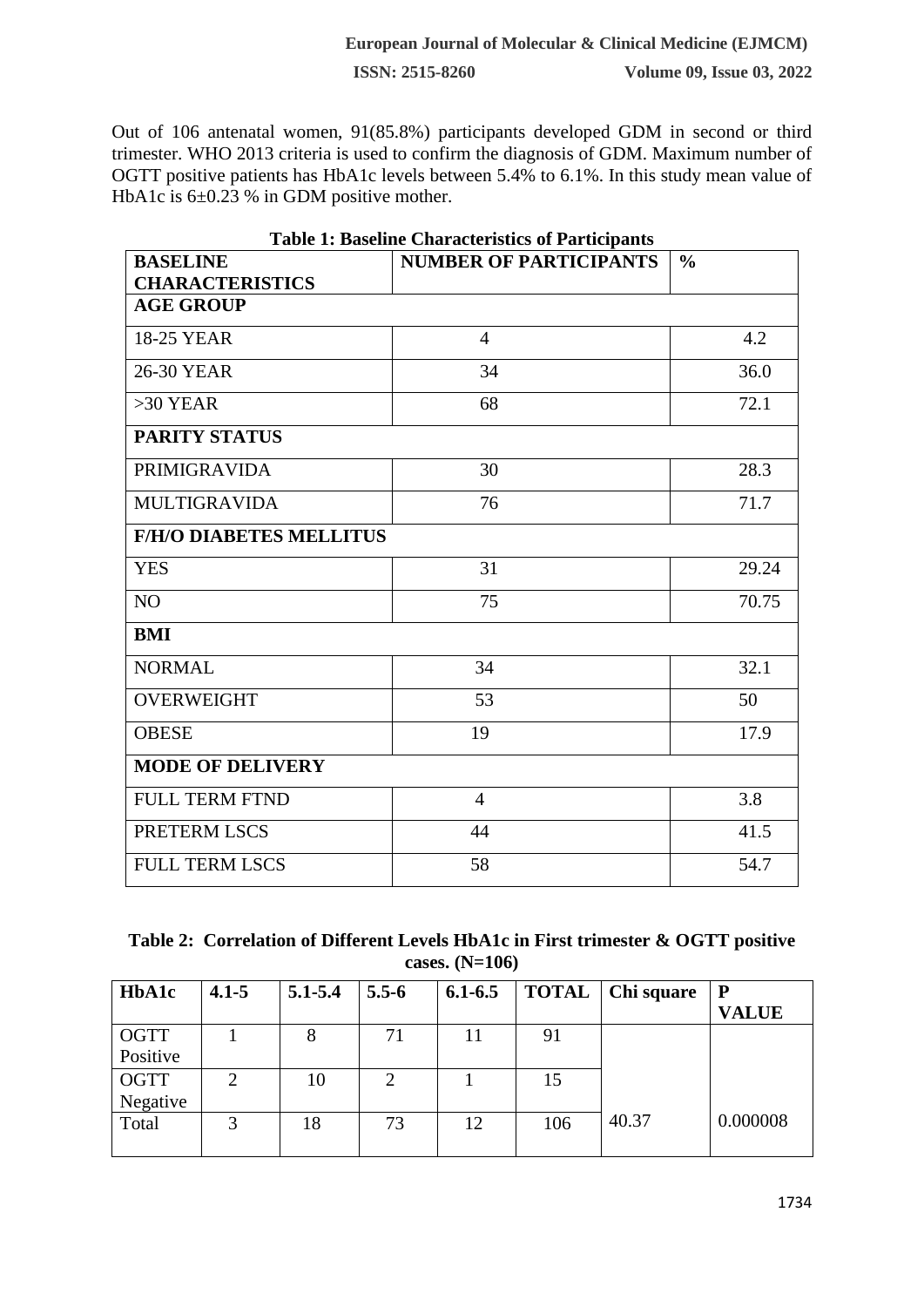Out of 106 antenatal women, 91(85.8%) participants developed GDM in second or third trimester. WHO 2013 criteria is used to confirm the diagnosis of GDM. Maximum number of OGTT positive patients has HbA1c levels between 5.4% to 6.1%. In this study mean value of HbA1c is  $6\pm0.23$  % in GDM positive mother.

| <b>Table 1: Baseline Characteristics of Participants</b> |                               |               |  |  |  |  |  |
|----------------------------------------------------------|-------------------------------|---------------|--|--|--|--|--|
| <b>BASELINE</b>                                          | <b>NUMBER OF PARTICIPANTS</b> | $\frac{0}{0}$ |  |  |  |  |  |
| <b>CHARACTERISTICS</b>                                   |                               |               |  |  |  |  |  |
| <b>AGE GROUP</b>                                         |                               |               |  |  |  |  |  |
| <b>18-25 YEAR</b>                                        | $\overline{4}$                | 4.2           |  |  |  |  |  |
| <b>26-30 YEAR</b>                                        | 34                            | 36.0          |  |  |  |  |  |
| $>30$ YEAR                                               | 68                            | 72.1          |  |  |  |  |  |
| <b>PARITY STATUS</b>                                     |                               |               |  |  |  |  |  |
| <b>PRIMIGRAVIDA</b>                                      | 30                            | 28.3          |  |  |  |  |  |
| <b>MULTIGRAVIDA</b>                                      | 76                            | 71.7          |  |  |  |  |  |
| <b>F/H/O DIABETES MELLITUS</b>                           |                               |               |  |  |  |  |  |
| <b>YES</b>                                               | 31                            | 29.24         |  |  |  |  |  |
| N <sub>O</sub>                                           | 75                            | 70.75         |  |  |  |  |  |
| <b>BMI</b>                                               |                               |               |  |  |  |  |  |
| <b>NORMAL</b>                                            | 34                            | 32.1          |  |  |  |  |  |
| <b>OVERWEIGHT</b>                                        | 53                            | 50            |  |  |  |  |  |
| <b>OBESE</b>                                             | 19                            | 17.9          |  |  |  |  |  |
| <b>MODE OF DELIVERY</b>                                  |                               |               |  |  |  |  |  |
| <b>FULL TERM FTND</b>                                    | $\overline{4}$                | 3.8           |  |  |  |  |  |
| PRETERM LSCS                                             | 44                            | 41.5          |  |  |  |  |  |
| <b>FULL TERM LSCS</b>                                    | 58                            | 54.7          |  |  |  |  |  |

| Table 2: Correlation of Different Levels HbA1c in First trimester & OGTT positive |                  |  |  |
|-----------------------------------------------------------------------------------|------------------|--|--|
|                                                                                   | cases. $(N=106)$ |  |  |

| HbA1c       | $4.1 - 5$ | $5.1 - 5.4$ | $5.5 - 6$                   | $6.1 - 6.5$ | <b>TOTAL</b> | Chi square | P            |
|-------------|-----------|-------------|-----------------------------|-------------|--------------|------------|--------------|
|             |           |             |                             |             |              |            | <b>VALUE</b> |
| <b>OGTT</b> |           |             | 71                          |             | 91           |            |              |
| Positive    |           |             |                             |             |              |            |              |
| <b>OGTT</b> |           | 10          | $\mathcal{D}_{\mathcal{L}}$ |             | 15           |            |              |
| Negative    |           |             |                             |             |              |            |              |
| Total       | 3         | 18          | 73                          | 12          | 106          | 40.37      | 0.000008     |
|             |           |             |                             |             |              |            |              |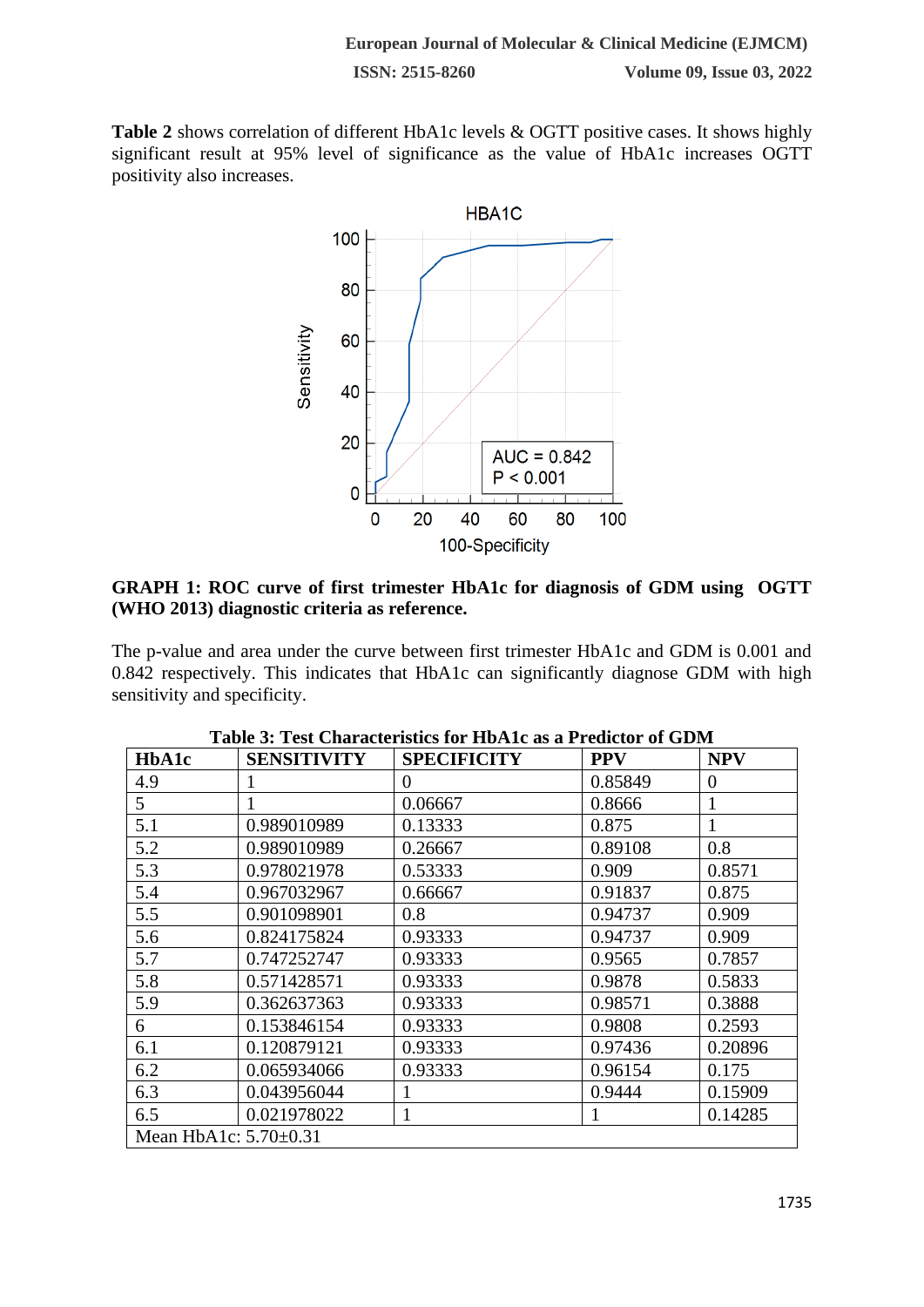Table 2 shows correlation of different HbA1c levels & OGTT positive cases. It shows highly significant result at 95% level of significance as the value of HbA1c increases OGTT positivity also increases.



# **GRAPH 1: ROC curve of first trimester HbA1c for diagnosis of GDM using OGTT (WHO 2013) diagnostic criteria as reference.**

The p-value and area under the curve between first trimester HbA1c and GDM is 0.001 and 0.842 respectively. This indicates that HbA1c can significantly diagnose GDM with high sensitivity and specificity.

| <b>HbA1c</b> | <b>SENSITIVITY</b>          | <b>SPECIFICITY</b> | <b>PPV</b> | <b>NPV</b>     |  |  |  |  |
|--------------|-----------------------------|--------------------|------------|----------------|--|--|--|--|
| 4.9          |                             | $\theta$           | 0.85849    | $\overline{0}$ |  |  |  |  |
| 5            |                             | 0.06667            | 0.8666     | 1              |  |  |  |  |
| 5.1          | 0.989010989                 | 0.13333            | 0.875      | 1              |  |  |  |  |
| 5.2          | 0.989010989                 | 0.26667            | 0.89108    | 0.8            |  |  |  |  |
| 5.3          | 0.978021978                 | 0.53333            | 0.909      | 0.8571         |  |  |  |  |
| 5.4          | 0.967032967                 | 0.66667            | 0.91837    | 0.875          |  |  |  |  |
| 5.5          | 0.901098901                 | 0.8                | 0.94737    | 0.909          |  |  |  |  |
| 5.6          | 0.824175824                 | 0.93333            | 0.94737    | 0.909          |  |  |  |  |
| 5.7          | 0.747252747                 | 0.93333            | 0.9565     | 0.7857         |  |  |  |  |
| 5.8          | 0.571428571                 | 0.93333            | 0.9878     | 0.5833         |  |  |  |  |
| 5.9          | 0.362637363                 | 0.93333            | 0.98571    | 0.3888         |  |  |  |  |
| 6            | 0.153846154                 | 0.93333            | 0.9808     | 0.2593         |  |  |  |  |
| 6.1          | 0.120879121                 | 0.93333            | 0.97436    | 0.20896        |  |  |  |  |
| 6.2          | 0.065934066                 | 0.93333            | 0.96154    | 0.175          |  |  |  |  |
| 6.3          | 0.043956044                 |                    | 0.9444     | 0.15909        |  |  |  |  |
| 6.5          | 0.021978022                 | 1                  | 1          | 0.14285        |  |  |  |  |
|              | Mean HbA1c: $5.70 \pm 0.31$ |                    |            |                |  |  |  |  |

|  |  |  | Table 3: Test Characteristics for HbA1c as a Predictor of GDM |
|--|--|--|---------------------------------------------------------------|
|--|--|--|---------------------------------------------------------------|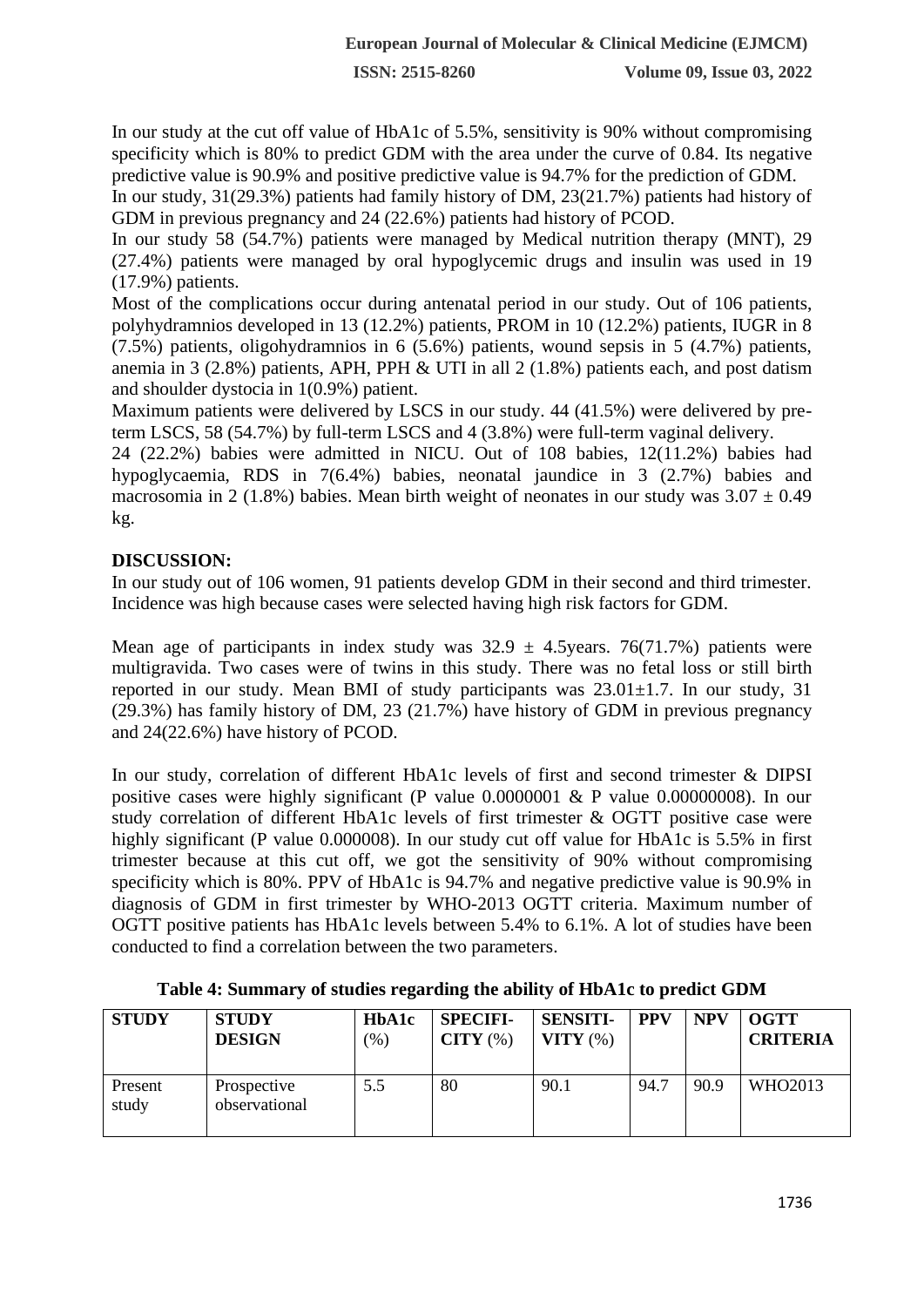In our study at the cut off value of HbA1c of 5.5%, sensitivity is 90% without compromising specificity which is 80% to predict GDM with the area under the curve of 0.84. Its negative predictive value is 90.9% and positive predictive value is 94.7% for the prediction of GDM.

In our study, 31(29.3%) patients had family history of DM, 23(21.7%) patients had history of GDM in previous pregnancy and 24 (22.6%) patients had history of PCOD.

In our study 58 (54.7%) patients were managed by Medical nutrition therapy (MNT), 29 (27.4%) patients were managed by oral hypoglycemic drugs and insulin was used in 19 (17.9%) patients.

Most of the complications occur during antenatal period in our study. Out of 106 patients, polyhydramnios developed in 13 (12.2%) patients, PROM in 10 (12.2%) patients, IUGR in 8 (7.5%) patients, oligohydramnios in 6 (5.6%) patients, wound sepsis in 5 (4.7%) patients, anemia in 3 (2.8%) patients, APH, PPH & UTI in all 2 (1.8%) patients each, and post datism and shoulder dystocia in 1(0.9%) patient.

Maximum patients were delivered by LSCS in our study. 44 (41.5%) were delivered by preterm LSCS, 58 (54.7%) by full-term LSCS and 4 (3.8%) were full-term vaginal delivery.

24 (22.2%) babies were admitted in NICU. Out of 108 babies, 12(11.2%) babies had hypoglycaemia, RDS in 7(6.4%) babies, neonatal jaundice in 3 (2.7%) babies and macrosomia in 2 (1.8%) babies. Mean birth weight of neonates in our study was  $3.07 \pm 0.49$ kg.

# **DISCUSSION:**

In our study out of 106 women, 91 patients develop GDM in their second and third trimester. Incidence was high because cases were selected having high risk factors for GDM.

Mean age of participants in index study was  $32.9 \pm 4.5$ years. 76(71.7%) patients were multigravida. Two cases were of twins in this study. There was no fetal loss or still birth reported in our study. Mean BMI of study participants was  $23.01 \pm 1.7$ . In our study, 31 (29.3%) has family history of DM, 23 (21.7%) have history of GDM in previous pregnancy and 24(22.6%) have history of PCOD.

In our study, correlation of different HbA1c levels of first and second trimester & DIPSI positive cases were highly significant (P value 0.0000001 & P value 0.00000008). In our study correlation of different HbA1c levels of first trimester & OGTT positive case were highly significant (P value 0.000008). In our study cut off value for HbA1c is 5.5% in first trimester because at this cut off, we got the sensitivity of 90% without compromising specificity which is 80%. PPV of HbA1c is 94.7% and negative predictive value is 90.9% in diagnosis of GDM in first trimester by WHO-2013 OGTT criteria. Maximum number of OGTT positive patients has HbA1c levels between 5.4% to 6.1%. A lot of studies have been conducted to find a correlation between the two parameters.

| <b>STUDY</b>     | <b>STUDY</b><br><b>DESIGN</b> | HbA1c<br>$\gamma$ <sup>2</sup> | <b>SPECIFI-</b><br>CITY(%) | <b>SENSITI-</b><br>VITY $(\%)$ | <b>PPV</b> | <b>NPV</b> | <b>OGTT</b><br><b>CRITERIA</b> |
|------------------|-------------------------------|--------------------------------|----------------------------|--------------------------------|------------|------------|--------------------------------|
| Present<br>study | Prospective<br>observational  | 5.5                            | 80                         | 90.1                           | 94.7       | 90.9       | WHO2013                        |

| Table 4: Summary of studies regarding the ability of HbA1c to predict GDM |  |  |  |  |  |  |  |
|---------------------------------------------------------------------------|--|--|--|--|--|--|--|
|---------------------------------------------------------------------------|--|--|--|--|--|--|--|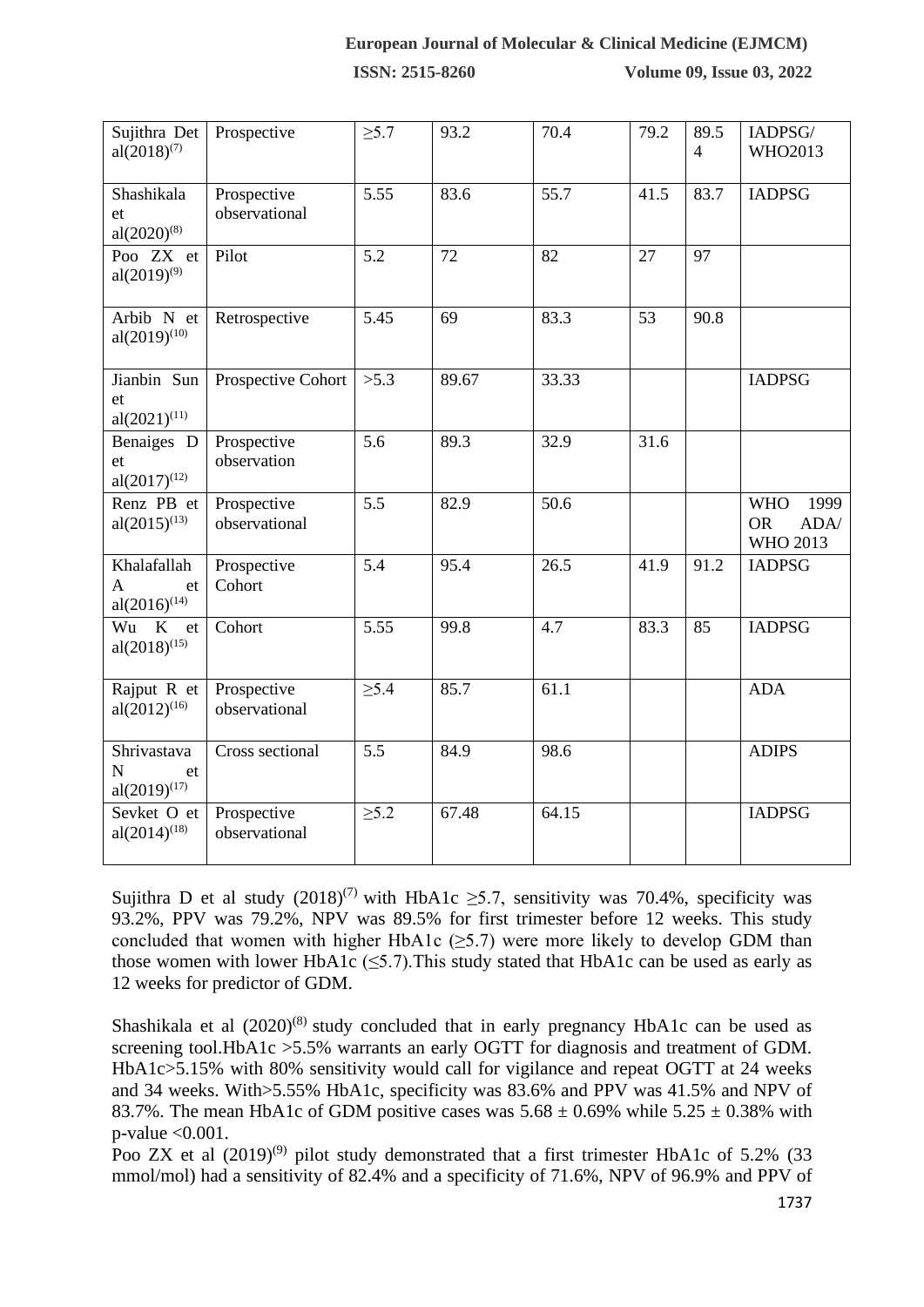**ISSN: 2515-8260 Volume 09, Issue 03, 2022**

| Sujithra Det<br>$al(2018)^{(7)}$                       | Prospective                  | $\geq 5.7$       | 93.2  | 70.4  | 79.2 | 89.5<br>$\overline{4}$ | IADPSG/<br>WHO2013                                  |
|--------------------------------------------------------|------------------------------|------------------|-------|-------|------|------------------------|-----------------------------------------------------|
| Shashikala<br>et<br>$al(2020)^{(8)}$                   | Prospective<br>observational | 5.55             | 83.6  | 55.7  | 41.5 | 83.7                   | <b>IADPSG</b>                                       |
| Poo $ZX$ et<br>$al(2019)^{(9)}$                        | Pilot                        | 5.2              | 72    | 82    | 27   | 97                     |                                                     |
| Arbib N et<br>$al(2019)^{(10)}$                        | Retrospective                | 5.45             | 69    | 83.3  | 53   | 90.8                   |                                                     |
| Jianbin Sun<br>et<br>$al(2021)^{(11)}$                 | Prospective Cohort           | >5.3             | 89.67 | 33.33 |      |                        | <b>IADPSG</b>                                       |
| Benaiges D<br>et<br>$al(2017)^{(12)}$                  | Prospective<br>observation   | 5.6              | 89.3  | 32.9  | 31.6 |                        |                                                     |
| Renz PB et<br>$al(2015)^{(13)}$                        | Prospective<br>observational | $\overline{5.5}$ | 82.9  | 50.6  |      |                        | <b>WHO</b><br>1999<br>ADA/<br><b>OR</b><br>WHO 2013 |
| Khalafallah<br>$\mathbf{A}$<br>et<br>$al(2016)^{(14)}$ | Prospective<br>Cohort        | 5.4              | 95.4  | 26.5  | 41.9 | 91.2                   | <b>IADPSG</b>                                       |
| Wu K<br>et<br>$al(2018)^{(15)}$                        | Cohort                       | 5.55             | 99.8  | 4.7   | 83.3 | 85                     | <b>IADPSG</b>                                       |
| Rajput R et<br>$al(2012)^{(16)}$                       | Prospective<br>observational | $\geq 5.4$       | 85.7  | 61.1  |      |                        | <b>ADA</b>                                          |
| Shrivastava<br>N<br>et<br>$al(2019)^{(17)}$            | Cross sectional              | 5.5              | 84.9  | 98.6  |      |                        | <b>ADIPS</b>                                        |
| Sevket O et<br>$al(2014)^{(18)}$                       | Prospective<br>observational | $\geq 5.2$       | 67.48 | 64.15 |      |                        | <b>IADPSG</b>                                       |

Sujithra D et al study  $(2018)^{(7)}$  with HbA1c ≥5.7, sensitivity was 70.4%, specificity was 93.2%, PPV was 79.2%, NPV was 89.5% for first trimester before 12 weeks. This study concluded that women with higher HbA1c  $(\geq 5.7)$  were more likely to develop GDM than those women with lower HbA1c ( $\leq$ 5.7). This study stated that HbA1c can be used as early as 12 weeks for predictor of GDM.

Shashikala et al  $(2020)^{(8)}$  study concluded that in early pregnancy HbA1c can be used as screening tool.HbA1c > 5.5% warrants an early OGTT for diagnosis and treatment of GDM. HbA1c>5.15% with 80% sensitivity would call for vigilance and repeat OGTT at 24 weeks and 34 weeks. With>5.55% HbA1c, specificity was 83.6% and PPV was 41.5% and NPV of 83.7%. The mean HbA1c of GDM positive cases was  $5.68 \pm 0.69\%$  while  $5.25 \pm 0.38\%$  with p-value <0.001.

Poo ZX et al  $(2019)^{(9)}$  pilot study demonstrated that a first trimester HbA1c of 5.2% (33) mmol/mol) had a sensitivity of 82.4% and a specificity of 71.6%, NPV of 96.9% and PPV of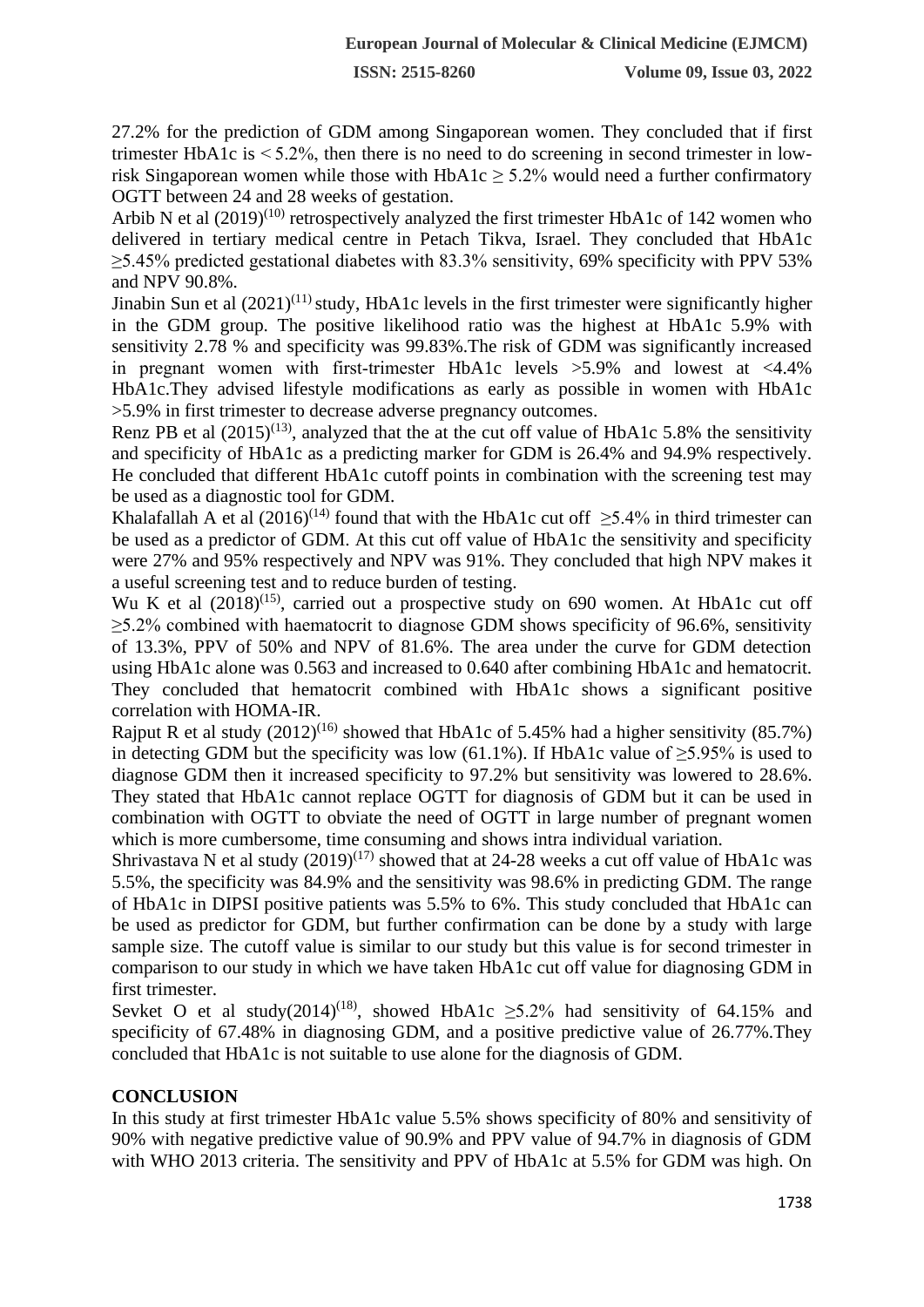27.2% for the prediction of GDM among Singaporean women. They concluded that if first trimester HbA1c is  $\leq 5.2\%$ , then there is no need to do screening in second trimester in lowrisk Singaporean women while those with  $HbA1c \geq 5.2\%$  would need a further confirmatory OGTT between 24 and 28 weeks of gestation.

Arbib N et al  $(2019)^{(10)}$  retrospectively analyzed the first trimester HbA1c of 142 women who delivered in tertiary medical centre in Petach Tikva, Israel. They concluded that HbA1c  $\geq$ 5.45% predicted gestational diabetes with 83.3% sensitivity, 69% specificity with PPV 53% and NPV 90.8%.

Jinabin Sun et al  $(2021)^{(11)}$  study, HbA1c levels in the first trimester were significantly higher in the GDM group. The positive likelihood ratio was the highest at HbA1c 5.9% with sensitivity 2.78 % and specificity was 99.83%.The risk of GDM was significantly increased in pregnant women with first-trimester HbA1c levels  $>5.9\%$  and lowest at  $<4.4\%$ HbA1c.They advised lifestyle modifications as early as possible in women with HbA1c >5.9% in first trimester to decrease adverse pregnancy outcomes.

Renz PB et al  $(2015)^{(13)}$ , analyzed that the at the cut off value of HbA1c 5.8% the sensitivity and specificity of HbA1c as a predicting marker for GDM is 26.4% and 94.9% respectively. He concluded that different HbA1c cutoff points in combination with the screening test may be used as a diagnostic tool for GDM.

Khalafallah A et al  $(2016)^{(14)}$  found that with the HbA1c cut off  $\geq 5.4\%$  in third trimester can be used as a predictor of GDM. At this cut off value of HbA1c the sensitivity and specificity were 27% and 95% respectively and NPV was 91%. They concluded that high NPV makes it a useful screening test and to reduce burden of testing.

Wu K et al  $(2018)^{(15)}$ , carried out a prospective study on 690 women. At HbA1c cut off  $\geq$ 5.2% combined with haematocrit to diagnose GDM shows specificity of 96.6%, sensitivity of 13.3%, PPV of 50% and NPV of 81.6%. The area under the curve for GDM detection using HbA1c alone was 0.563 and increased to 0.640 after combining HbA1c and hematocrit. They concluded that hematocrit combined with HbA1c shows a significant positive correlation with HOMA-IR.

Rajput R et al study  $(2012)^{(16)}$  showed that HbA1c of 5.45% had a higher sensitivity (85.7%) in detecting GDM but the specificity was low  $(61.1\%)$ . If HbA1c value of  $>5.95\%$  is used to diagnose GDM then it increased specificity to 97.2% but sensitivity was lowered to 28.6%. They stated that HbA1c cannot replace OGTT for diagnosis of GDM but it can be used in combination with OGTT to obviate the need of OGTT in large number of pregnant women which is more cumbersome, time consuming and shows intra individual variation.

Shrivastava N et al study  $(2019)^{(17)}$  showed that at 24-28 weeks a cut off value of HbA1c was 5.5%, the specificity was 84.9% and the sensitivity was 98.6% in predicting GDM. The range of HbA1c in DIPSI positive patients was 5.5% to 6%. This study concluded that HbA1c can be used as predictor for GDM, but further confirmation can be done by a study with large sample size. The cutoff value is similar to our study but this value is for second trimester in comparison to our study in which we have taken HbA1c cut off value for diagnosing GDM in first trimester.

Sevket O et al study(2014)<sup>(18)</sup>, showed HbA1c  $\geq$ 5.2% had sensitivity of 64.15% and specificity of 67.48% in diagnosing GDM, and a positive predictive value of 26.77%.They concluded that HbA1c is not suitable to use alone for the diagnosis of GDM.

### **CONCLUSION**

In this study at first trimester HbA1c value 5.5% shows specificity of 80% and sensitivity of 90% with negative predictive value of 90.9% and PPV value of 94.7% in diagnosis of GDM with WHO 2013 criteria. The sensitivity and PPV of HbA1c at 5.5% for GDM was high. On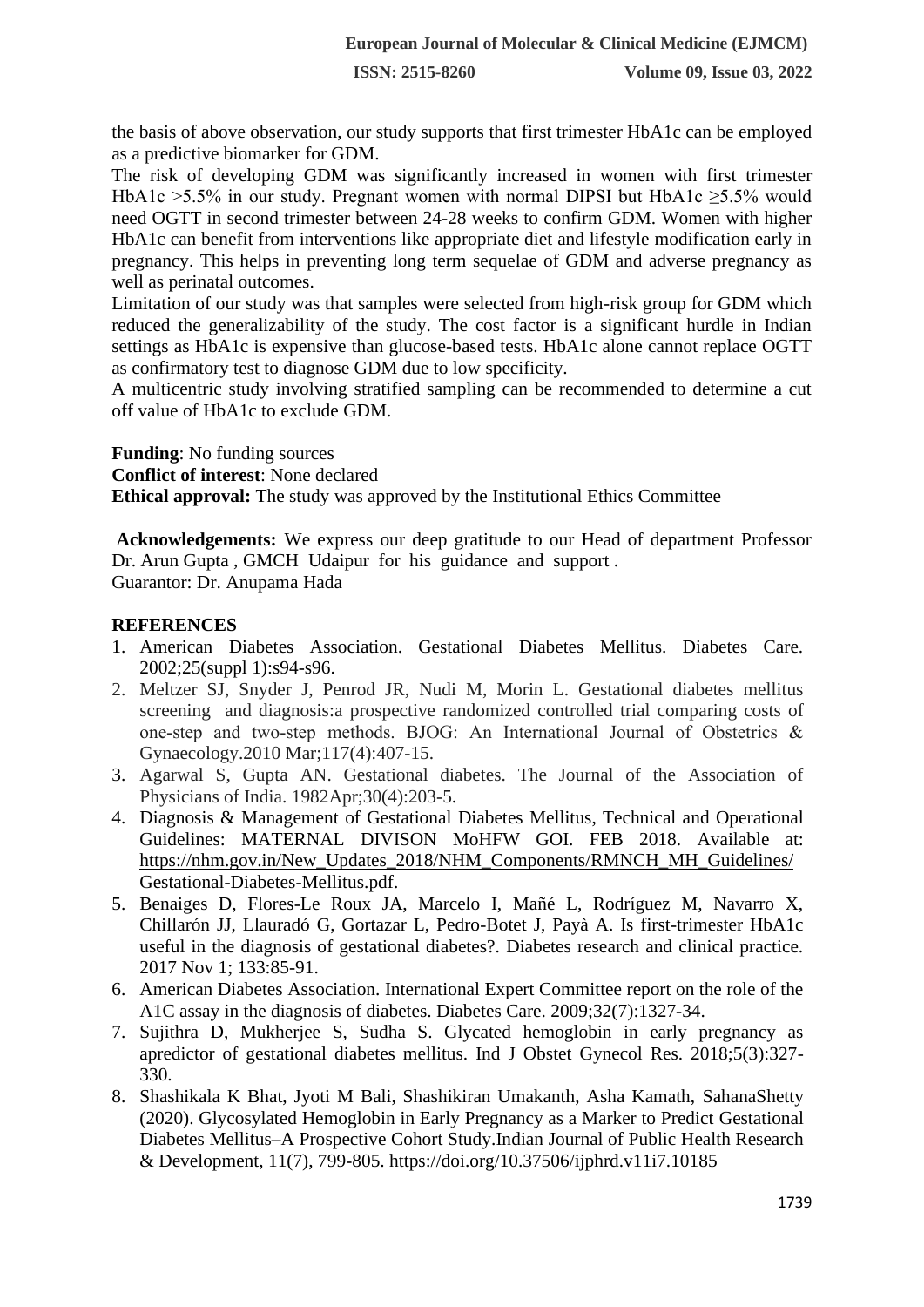the basis of above observation, our study supports that first trimester HbA1c can be employed as a predictive biomarker for GDM.

The risk of developing GDM was significantly increased in women with first trimester HbA1c >5.5% in our study. Pregnant women with normal DIPSI but HbA1c ≥5.5% would need OGTT in second trimester between 24-28 weeks to confirm GDM. Women with higher HbA1c can benefit from interventions like appropriate diet and lifestyle modification early in pregnancy. This helps in preventing long term sequelae of GDM and adverse pregnancy as well as perinatal outcomes.

Limitation of our study was that samples were selected from high-risk group for GDM which reduced the generalizability of the study. The cost factor is a significant hurdle in Indian settings as HbA1c is expensive than glucose-based tests. HbA1c alone cannot replace OGTT as confirmatory test to diagnose GDM due to low specificity.

A multicentric study involving stratified sampling can be recommended to determine a cut off value of HbA1c to exclude GDM.

**Funding**: No funding sources

**Conflict of interest**: None declared

**Ethical approval:** The study was approved by the Institutional Ethics Committee

**Acknowledgements:** We express our deep gratitude to our Head of department Professor Dr. Arun Gupta , GMCH Udaipur for his guidance and support .

Guarantor: Dr. Anupama Hada

# **REFERENCES**

- 1. American Diabetes Association. Gestational Diabetes Mellitus. Diabetes Care. 2002;25(suppl 1):s94-s96.
- 2. Meltzer SJ, Snyder J, Penrod JR, Nudi M, Morin L. Gestational diabetes mellitus screening and diagnosis:a prospective randomized controlled trial comparing costs of one‐step and two‐step methods. BJOG: An International Journal of Obstetrics & Gynaecology.2010 Mar;117(4):407-15.
- 3. Agarwal S, Gupta AN. Gestational diabetes. The Journal of the Association of Physicians of India. 1982Apr;30(4):203-5.
- 4. Diagnosis & Management of Gestational Diabetes Mellitus, Technical and Operational Guidelines: MATERNAL DIVISON MoHFW GOI. FEB 2018. Available at: [https://nhm.gov.in/New\\_Updates\\_2018/NHM\\_Components/RMNCH\\_MH\\_Guidelines/](https://nhm.gov.in/New_Updates_2018/NHM_Components/RMNCH_MH_Guidelines/Gestational-Diabetes-Mellitus.pdf) [Gestational-Diabetes-Mellitus.pdf.](https://nhm.gov.in/New_Updates_2018/NHM_Components/RMNCH_MH_Guidelines/Gestational-Diabetes-Mellitus.pdf)
- 5. Benaiges D, Flores-Le Roux JA, Marcelo I, Mañé L, Rodríguez M, Navarro X, Chillarón JJ, Llauradó G, Gortazar L, Pedro-Botet J, Payà A. Is first-trimester HbA1c useful in the diagnosis of gestational diabetes?. Diabetes research and clinical practice. 2017 Nov 1; 133:85-91.
- 6. American Diabetes Association. International Expert Committee report on the role of the A1C assay in the diagnosis of diabetes. Diabetes Care. 2009;32(7):1327-34.
- 7. Sujithra D, Mukherjee S, Sudha S. Glycated hemoglobin in early pregnancy as apredictor of gestational diabetes mellitus. Ind J Obstet Gynecol Res. 2018;5(3):327- 330.
- 8. Shashikala K Bhat, Jyoti M Bali, Shashikiran Umakanth, Asha Kamath, SahanaShetty (2020). Glycosylated Hemoglobin in Early Pregnancy as a Marker to Predict Gestational Diabetes Mellitus–A Prospective Cohort Study.Indian Journal of Public Health Research & Development, 11(7), 799-805.<https://doi.org/10.37506/ijphrd.v11i7.10185>